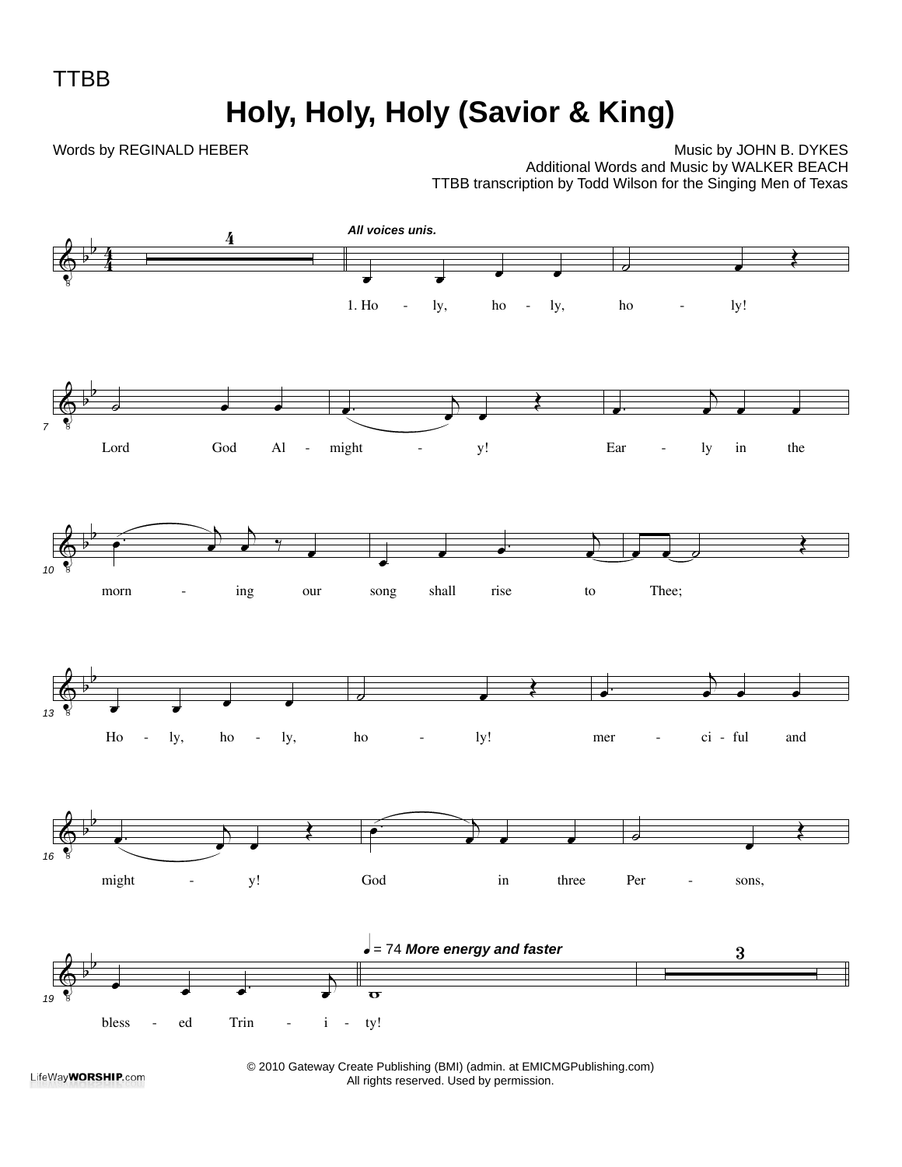TTBB

**Holy, Holy, Holy (Savior & King)**

Words by REGINALD HEBER

Music by JOHN B. DYKES Additional Words and Music by WALKER BEACH TTBB transcription by Todd Wilson for the Singing Men of Texas



LifeWay**WORSHIP.com** 

© 2010 Gateway Create Publishing (BMI) (admin. at EMICMGPublishing.com) All rights reserved. Used by permission.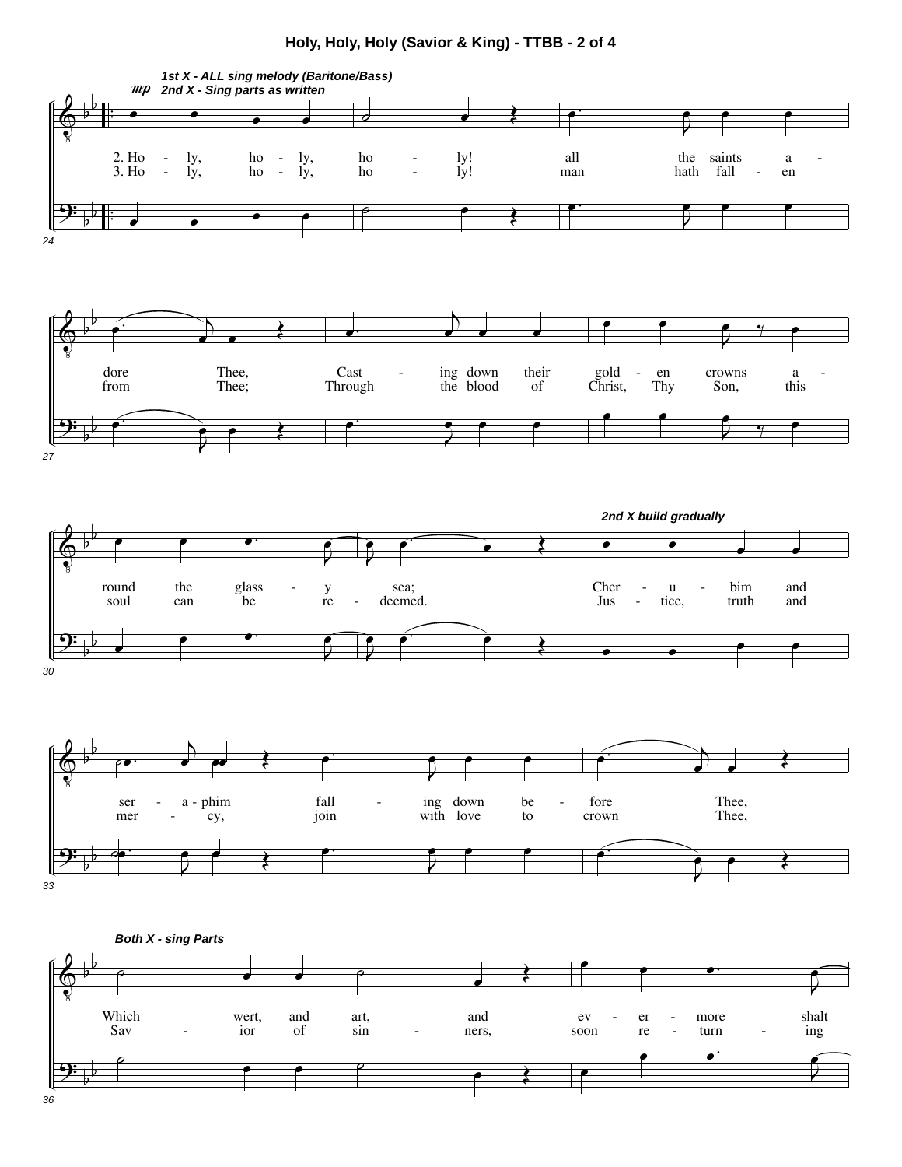## **Holy, Holy, Holy (Savior & King) - TTBB - 2 of 4**

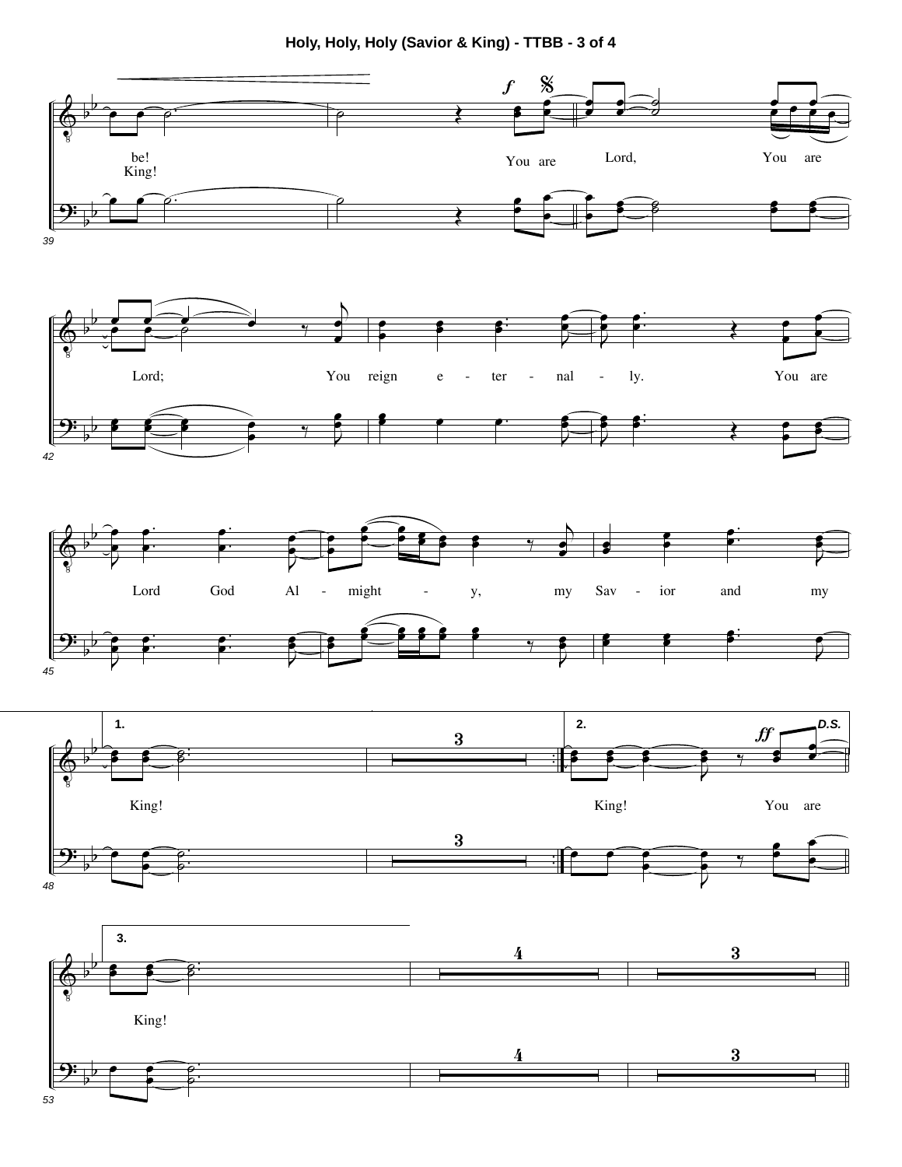